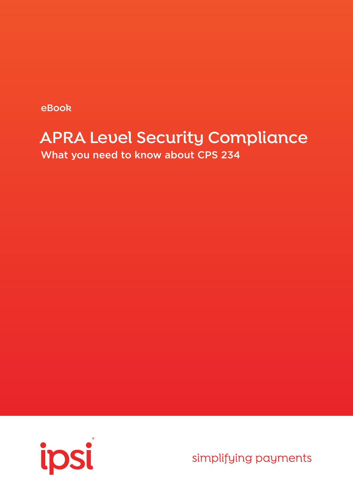**eBook**

# **APRA Level Security Compliance**

What you need to know about CPS 234



simplifying payments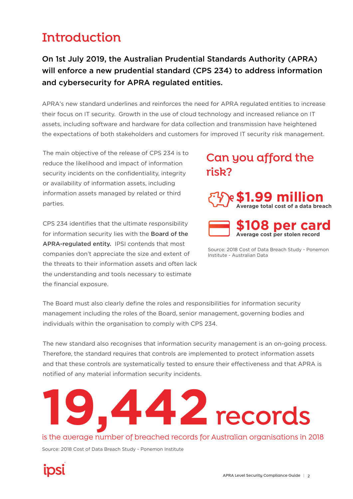# **Introduction**

# On 1st July 2019, the Australian Prudential Standards Authority (APRA) will enforce a new prudential standard (CPS 234) to address information and cybersecurity for APRA regulated entities.

APRA's new standard underlines and reinforces the need for APRA regulated entities to increase their focus on IT security. Growth in the use of cloud technology and increased reliance on IT assets, including software and hardware for data collection and transmission have heightened the expectations of both stakeholders and customers for improved IT security risk management.

The main objective of the release of CPS 234 is to reduce the likelihood and impact of information security incidents on the confidentiality, integrity or availability of information assets, including information assets managed by related or third parties.

CPS 234 identifies that the ultimate responsibility for information security lies with the Board of the APRA-regulated entity. IPSI contends that most companies don't appreciate the size and extent of the threats to their information assets and often lack the understanding and tools necessary to estimate the financial exposure.

# **Can you afford the risk?**





Source: 2018 Cost of Data Breach Study - Ponemon Institute - Australian Data

The Board must also clearly define the roles and responsibilities for information security management including the roles of the Board, senior management, governing bodies and individuals within the organisation to comply with CPS 234.

The new standard also recognises that information security management is an on-going process. Therefore, the standard requires that controls are implemented to protect information assets and that these controls are systematically tested to ensure their effectiveness and that APRA is notified of any material information security incidents.

# **19,442 records**

## is the average number of breached records for Australian organisations in 2018

Source: 2018 Cost of Data Breach Study - Ponemon Institute

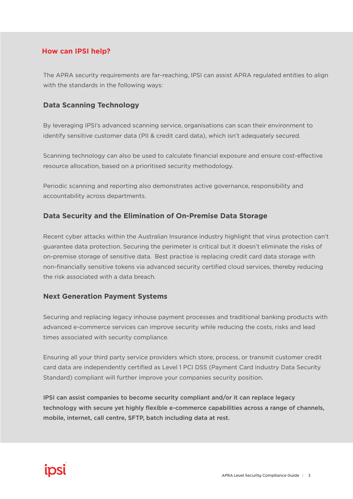## **How can IPSI help?**

The APRA security requirements are far-reaching, IPSI can assist APRA regulated entities to align with the standards in the following ways:

## **Data Scanning Technology**

By leveraging IPSI's advanced scanning service, organisations can scan their environment to identify sensitive customer data (PII & credit card data), which isn't adequately secured.

Scanning technology can also be used to calculate financial exposure and ensure cost-effective resource allocation, based on a prioritised security methodology.

Periodic scanning and reporting also demonstrates active governance, responsibility and accountability across departments.

## **Data Security and the Elimination of On-Premise Data Storage**

Recent cyber attacks within the Australian Insurance industry highlight that virus protection can't guarantee data protection. Securing the perimeter is critical but it doesn't eliminate the risks of on-premise storage of sensitive data. Best practise is replacing credit card data storage with non-financially sensitive tokens via advanced security certified cloud services, thereby reducing the risk associated with a data breach.

## **Next Generation Payment Systems**

Securing and replacing legacy inhouse payment processes and traditional banking products with advanced e-commerce services can improve security while reducing the costs, risks and lead times associated with security compliance.

Ensuring all your third party service providers which store, process, or transmit customer credit card data are independently certified as Level 1 PCI DSS (Payment Card Industry Data Security Standard) compliant will further improve your companies security position.

IPSI can assist companies to become security compliant and/or it can replace legacy technology with secure yet highly flexible e-commerce capabilities across a range of channels, mobile, internet, call centre, SFTP, batch including data at rest.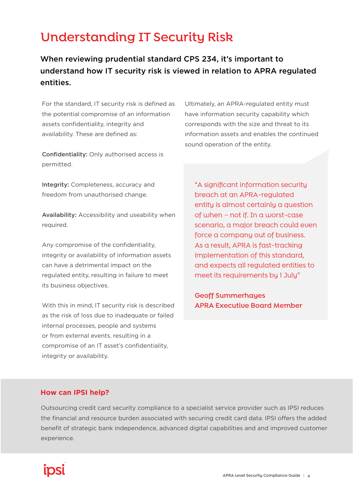# **Understanding IT Security Risk**

When reviewing prudential standard CPS 234, it's important to understand how IT security risk is viewed in relation to APRA regulated entities.

For the standard, IT security risk is defined as the potential compromise of an information assets confidentiality, integrity and availability. These are defined as:

Confidentiality: Only authorised access is permitted.

Ultimately, an APRA-regulated entity must have information security capability which corresponds with the size and threat to its information assets and enables the continued sound operation of the entity.

Integrity: Completeness, accuracy and freedom from unauthorised change.

Availability: Accessibility and useability when required.

Any compromise of the confidentiality, integrity or availability of information assets can have a detrimental impact on the regulated entity, resulting in failure to meet its business objectives.

With this in mind, IT security risk is described as the risk of loss due to inadequate or failed internal processes, people and systems or from external events, resulting in a compromise of an IT asset's confidentiality, integrity or availability.

"A significant information security breach at an APRA-regulated entity is almost certainly a question of when – not if. In a worst-case scenario, a major breach could even force a company out of business. As a result, APRA is fast-tracking implementation of this standard, and expects all regulated entities to meet its requirements by 1 July"

**Geoff Summerhayes APRA Executive Board Member**

## **How can IPSI help?**

Outsourcing credit card security compliance to a specialist service provider such as IPSI reduces the financial and resource burden associated with securing credit card data. IPSI offers the added benefit of strategic bank independence, advanced digital capabilities and and improved customer experience.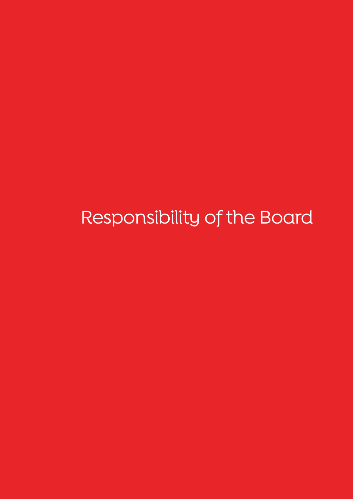Responsibility of the Board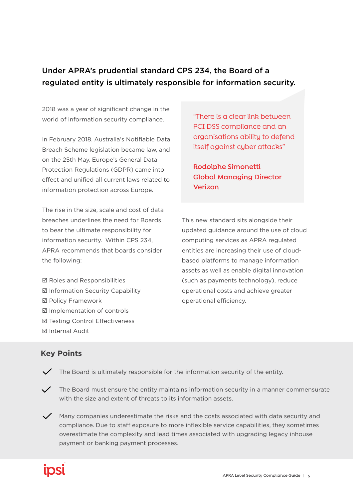# Under APRA's prudential standard CPS 234, the Board of a regulated entity is ultimately responsible for information security.

2018 was a year of significant change in the world of information security compliance.

In February 2018, Australia's Notifiable Data Breach Scheme legislation became law, and on the 25th May, Europe's General Data Protection Regulations (GDPR) came into effect and unified all current laws related to information protection across Europe.

The rise in the size, scale and cost of data breaches underlines the need for Boards to bear the ultimate responsibility for information security. Within CPS 234, APRA recommends that boards consider the following:

**Ø** Roles and Responsibilities  $\boxtimes$  Information Security Capability **Ø Policy Framework**  Implementation of controls **Ø Testing Control Effectiveness** 

**Ø** Internal Audit

"There is a clear link between PCI DSS compliance and an organisations ability to defend itself against cyber attacks"

**Rodolphe Simonetti Global Managing Director Verizon**

This new standard sits alongside their updated guidance around the use of cloud computing services as APRA regulated entities are increasing their use of cloudbased platforms to manage information assets as well as enable digital innovation (such as payments technology), reduce operational costs and achieve greater operational efficiency.

# **Key Points**

- $\checkmark$  The Board is ultimately responsible for the information security of the entity.
- $\checkmark$  The Board must ensure the entity maintains information security in a manner commensurate with the size and extent of threats to its information assets.
- $\checkmark$  Many companies underestimate the risks and the costs associated with data security and compliance. Due to staff exposure to more inflexible service capabilities, they sometimes overestimate the complexity and lead times associated with upgrading legacy inhouse payment or banking payment processes.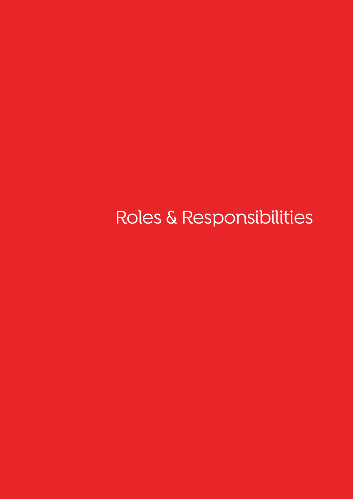Roles & Responsibilities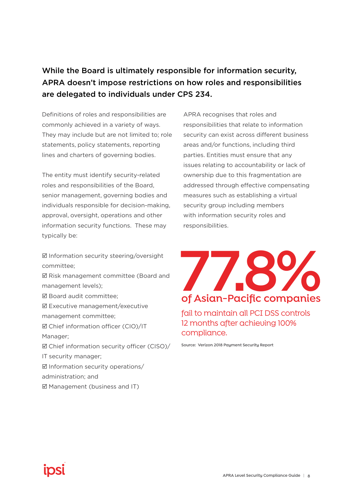# While the Board is ultimately responsible for information security, APRA doesn't impose restrictions on how roles and responsibilities are delegated to individuals under CPS 234.

Definitions of roles and responsibilities are commonly achieved in a variety of ways. They may include but are not limited to; role statements, policy statements, reporting lines and charters of governing bodies.

The entity must identify security-related roles and responsibilities of the Board, senior management, governing bodies and individuals responsible for decision-making, approval, oversight, operations and other information security functions. These may typically be:

 Information security steering/oversight committee;

■ Risk management committee (Board and management levels);

- **Ø Board audit committee:**
- Executive management/executive management committee;

 Chief information officer (CIO)/IT Manager;

 Chief information security officer (CISO)/ IT security manager;  $\boxtimes$  Information security operations/ administration; and

 $\boxtimes$  Management (business and IT)

APRA recognises that roles and responsibilities that relate to information security can exist across different business areas and/or functions, including third parties. Entities must ensure that any issues relating to accountability or lack of ownership due to this fragmentation are addressed through effective compensating measures such as establishing a virtual security group including members with information security roles and responsibilities.



fail to maintain all PCI DSS controls 12 months after achieving 100% compliance.

**Source: Verizon 2018 Payment Security Report**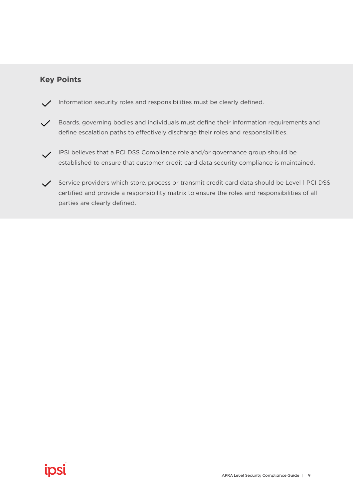# **Key Points**

- Information security roles and responsibilities must be clearly defined.
- Boards, governing bodies and individuals must define their information requirements and define escalation paths to effectively discharge their roles and responsibilities.
- IPSI believes that a PCI DSS Compliance role and/or governance group should be established to ensure that customer credit card data security compliance is maintained.
- Service providers which store, process or transmit credit card data should be Level 1 PCI DSS certified and provide a responsibility matrix to ensure the roles and responsibilities of all parties are clearly defined.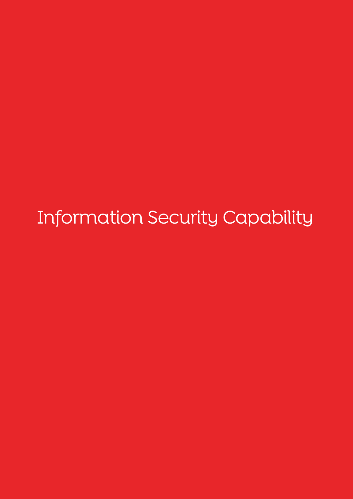Information Security Capability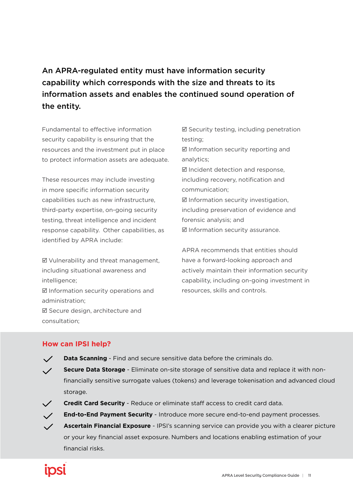# An APRA-regulated entity must have information security capability which corresponds with the size and threats to its information assets and enables the continued sound operation of the entity.

Fundamental to effective information security capability is ensuring that the resources and the investment put in place to protect information assets are adequate.

These resources may include investing in more specific information security capabilities such as new infrastructure, third-party expertise, on-going security testing, threat intelligence and incident response capability. Other capabilities, as identified by APRA include:

 Vulnerability and threat management, including situational awareness and intelligence;  $\boxtimes$  Information security operations and administration; Secure design, architecture and consultation;

 $\boxtimes$  Security testing, including penetration testing;  $\boxtimes$  Information security reporting and analytics;  $\boxtimes$  Incident detection and response. including recovery, notification and communication;  $\boxtimes$  Information security investigation, including preservation of evidence and forensic analysis; and  $\boxtimes$  Information security assurance.

APRA recommends that entities should have a forward-looking approach and actively maintain their information security capability, including on-going investment in resources, skills and controls.

## **How can IPSI help?**

- $\checkmark$ **Data Scanning** - Find and secure sensitive data before the criminals do.
- **Secure Data Storage** Eliminate on-site storage of sensitive data and replace it with non- $\checkmark$ financially sensitive surrogate values (tokens) and leverage tokenisation and advanced cloud storage.
- **Credit Card Security** Reduce or eliminate staff access to credit card data.  $\checkmark$ 
	- **End-to-End Payment Security** Introduce more secure end-to-end payment processes.
		- **Ascertain Financial Exposure**  IPSI's scanning service can provide you with a clearer picture or your key financial asset exposure. Numbers and locations enabling estimation of your financial risks.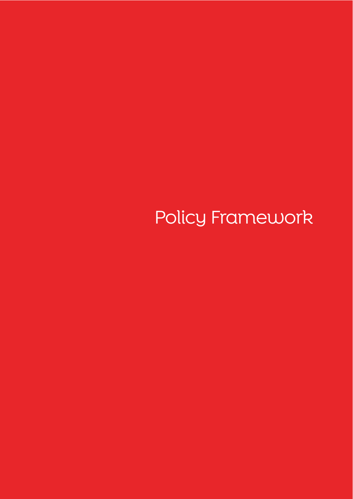Policy Framework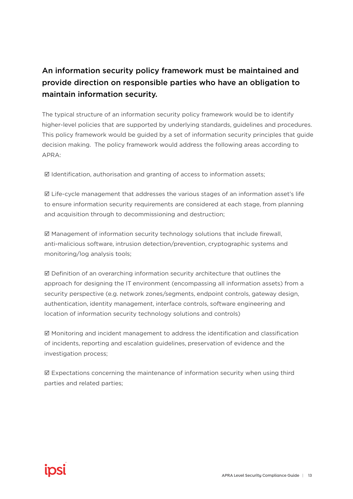# An information security policy framework must be maintained and provide direction on responsible parties who have an obligation to maintain information security.

The typical structure of an information security policy framework would be to identify higher-level policies that are supported by underlying standards, guidelines and procedures. This policy framework would be guided by a set of information security principles that guide decision making. The policy framework would address the following areas according to APRA:

 $\boxtimes$  Identification, authorisation and granting of access to information assets;

 $\boxtimes$  Life-cycle management that addresses the various stages of an information asset's life to ensure information security requirements are considered at each stage, from planning and acquisition through to decommissioning and destruction;

 $\boxtimes$  Management of information security technology solutions that include firewall, anti-malicious software, intrusion detection/prevention, cryptographic systems and monitoring/log analysis tools;

 $\boxtimes$  Definition of an overarching information security architecture that outlines the approach for designing the IT environment (encompassing all information assets) from a security perspective (e.g. network zones/segments, endpoint controls, gateway design, authentication, identity management, interface controls, software engineering and location of information security technology solutions and controls)

 $\boxtimes$  Monitoring and incident management to address the identification and classification of incidents, reporting and escalation guidelines, preservation of evidence and the investigation process;

 $\boxtimes$  Expectations concerning the maintenance of information security when using third parties and related parties;

# **IDS**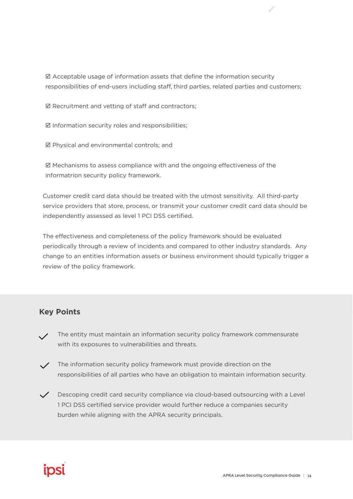$\boxtimes$  Acceptable usage of information assets that define the information security responsibilities of end-users including staff, third parties, related parties and customers;

 $\boxtimes$  Recruitment and vetting of staff and contractors;

 $\boxtimes$  Information security roles and responsibilities;

Physical and environmental controls; and

 $\boxtimes$  Mechanisms to assess compliance with and the ongoing effectiveness of the informatrion security policy framework.

Customer credit card data should be treated with the utmost sensitivity. All third-party service providers that store, process, or transmit your customer credit card data should be independently assessed as level 1 PCI DSS certified.

The effectiveness and completeness of the policy framework should be evaluated periodically through a review of incidents and compared to other industry standards. Any change to an entities information assets or business environment should typically trigger a review of the policy framework.

# **Key Points**

- The entity must maintain an information security policy framework commensurate with its exposures to vulnerabilities and threats.
- $\angle$  The information security policy framework must provide direction on the responsibilities of all parties who have an obligation to maintain information security.
- $\checkmark$  Descoping credit card security compliance via cloud-based outsourcing with a Level 1 PCI DSS certified service provider would further reduce a companies security burden while aligning with the APRA security principals.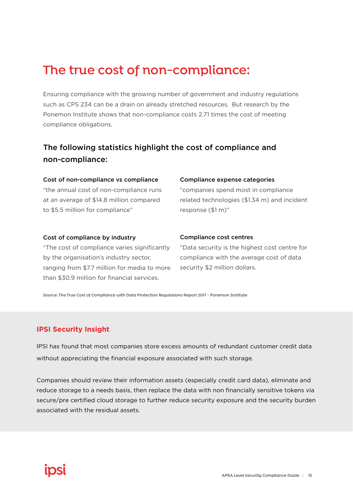# **The true cost of non-compliance:**

Ensuring compliance with the growing number of government and industry regulations such as CPS 234 can be a drain on already stretched resources. But research by the Ponemon Institute shows that non-compliance costs 2.71 times the cost of meeting compliance obligations.

# The following statistics highlight the cost of compliance and non-compliance:

#### Cost of non-compliance vs compliance

"the annual cost of non-compliance runs at an average of \$14.8 million compared to \$5.5 million for compliance"

#### Compliance expense categories

"companies spend most in compliance related technologies (\$1.34 m) and incident response (\$1 m)"

#### Cost of compliance by industry

"The cost of compliance varies significantly by the organisation's industry sector, ranging from \$7.7 million for media to more than \$30.9 million for financial services.

#### Compliance cost centres

"Data security is the highest cost centre for compliance with the average cost of data security \$2 million dollars.

**Source: The True Cost of Compliance with Data Protection Regulations Report 2017 - Ponemon Institute**

#### **IPSI Security Insight**

IPSI has found that most companies store excess amounts of redundant customer credit data without appreciating the financial exposure associated with such storage.

Companies should review their information assets (especially credit card data), eliminate and reduce storage to a needs basis, then replace the data with non financially sensitive tokens via secure/pre certified cloud storage to further reduce security exposure and the security burden associated with the residual assets.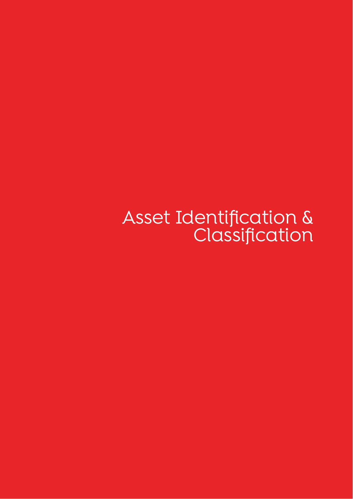Asset Identification & Classification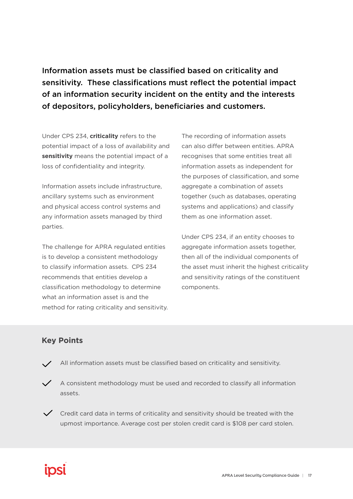Information assets must be classified based on criticality and sensitivity. These classifications must reflect the potential impact of an information security incident on the entity and the interests of depositors, policyholders, beneficiaries and customers.

Under CPS 234, **criticality** refers to the potential impact of a loss of availability and **sensitivity** means the potential impact of a loss of confidentiality and integrity.

Information assets include infrastructure, ancillary systems such as environment and physical access control systems and any information assets managed by third parties.

The challenge for APRA regulated entities is to develop a consistent methodology to classify information assets. CPS 234 recommends that entities develop a classification methodology to determine what an information asset is and the method for rating criticality and sensitivity.

The recording of information assets can also differ between entities. APRA recognises that some entities treat all information assets as independent for the purposes of classification, and some aggregate a combination of assets together (such as databases, operating systems and applications) and classify them as one information asset.

Under CPS 234, if an entity chooses to aggregate information assets together, then all of the individual components of the asset must inherit the highest criticality and sensitivity ratings of the constituent components.

# **Key Points**

- All information assets must be classified based on criticality and sensitivity.
- A consistent methodology must be used and recorded to classify all information assets.
- $\checkmark$  Credit card data in terms of criticality and sensitivity should be treated with the upmost importance. Average cost per stolen credit card is \$108 per card stolen.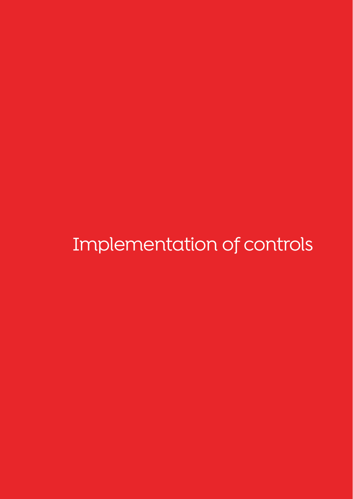Implementation of controls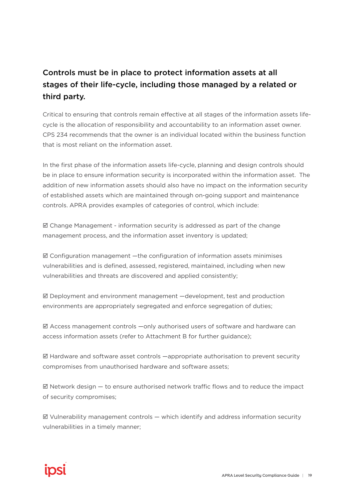# Controls must be in place to protect information assets at all stages of their life-cycle, including those managed by a related or third party.

Critical to ensuring that controls remain effective at all stages of the information assets lifecycle is the allocation of responsibility and accountability to an information asset owner. CPS 234 recommends that the owner is an individual located within the business function that is most reliant on the information asset.

In the first phase of the information assets life-cycle, planning and design controls should be in place to ensure information security is incorporated within the information asset. The addition of new information assets should also have no impact on the information security of established assets which are maintained through on-going support and maintenance controls. APRA provides examples of categories of control, which include:

 $\boxtimes$  Change Management - information security is addressed as part of the change management process, and the information asset inventory is updated;

 $\boxtimes$  Configuration management —the configuration of information assets minimises vulnerabilities and is defined, assessed, registered, maintained, including when new vulnerabilities and threats are discovered and applied consistently;

 $\boxtimes$  Deployment and environment management  $-\text{development}$ , test and production environments are appropriately segregated and enforce segregation of duties;

 $\boxtimes$  Access management controls  $-\text{only}$  authorised users of software and hardware can access information assets (refer to Attachment B for further guidance);

 $\boxtimes$  Hardware and software asset controls  $-$ appropriate authorisation to prevent security compromises from unauthorised hardware and software assets;

 $\boxtimes$  Network design  $-$  to ensure authorised network traffic flows and to reduce the impact of security compromises;

 $\boxtimes$  Vulnerability management controls  $-$  which identify and address information security vulnerabilities in a timely manner;

# ipsi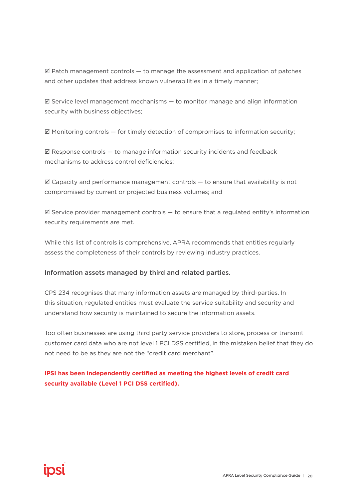$\boxtimes$  Patch management controls  $-$  to manage the assessment and application of patches and other updates that address known vulnerabilities in a timely manner;

 $\boxtimes$  Service level management mechanisms  $-$  to monitor, manage and align information security with business objectives;

 $\boxtimes$  Monitoring controls  $-$  for timely detection of compromises to information security;

 $\boxtimes$  Response controls  $-$  to manage information security incidents and feedback mechanisms to address control deficiencies;

 $\boxtimes$  Capacity and performance management controls  $-$  to ensure that availability is not compromised by current or projected business volumes; and

 $\boxtimes$  Service provider management controls  $-$  to ensure that a regulated entity's information security requirements are met.

While this list of controls is comprehensive, APRA recommends that entities regularly assess the completeness of their controls by reviewing industry practices.

#### Information assets managed by third and related parties.

CPS 234 recognises that many information assets are managed by third-parties. In this situation, regulated entities must evaluate the service suitability and security and understand how security is maintained to secure the information assets.

Too often businesses are using third party service providers to store, process or transmit customer card data who are not level 1 PCI DSS certified, in the mistaken belief that they do not need to be as they are not the "credit card merchant".

**IPSI has been independently certified as meeting the highest levels of credit card security available (Level 1 PCI DSS certified).**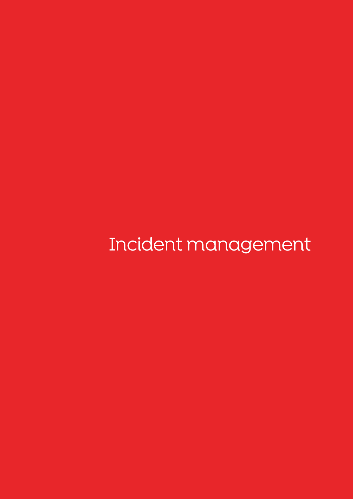Incident management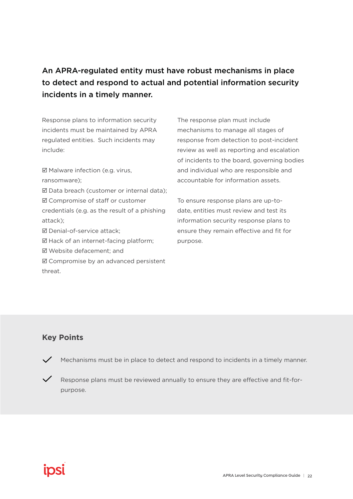# An APRA-regulated entity must have robust mechanisms in place to detect and respond to actual and potential information security incidents in a timely manner.

Response plans to information security incidents must be maintained by APRA regulated entities. Such incidents may include:

■ Malware infection (e.g. virus, ransomware); Data breach (customer or internal data); Compromise of staff or customer credentials (e.g. as the result of a phishing attack); Denial-of-service attack;  $\boxtimes$  Hack of an internet-facing platform; Website defacement; and ■ Compromise by an advanced persistent

The response plan must include mechanisms to manage all stages of response from detection to post-incident review as well as reporting and escalation of incidents to the board, governing bodies and individual who are responsible and accountable for information assets.

To ensure response plans are up-todate, entities must review and test its information security response plans to ensure they remain effective and fit for purpose.

## **Key Points**

threat.

 $\checkmark$  Mechanisms must be in place to detect and respond to incidents in a timely manner.

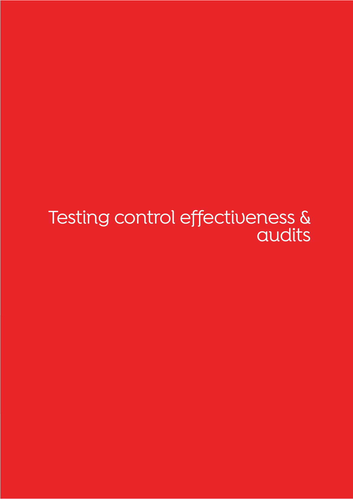Testing control effectiveness & audits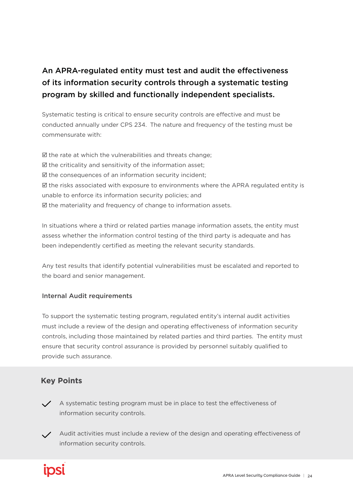# An APRA-regulated entity must test and audit the effectiveness of its information security controls through a systematic testing program by skilled and functionally independent specialists.

Systematic testing is critical to ensure security controls are effective and must be conducted annually under CPS 234. The nature and frequency of the testing must be commensurate with:

 $\boxtimes$  the rate at which the vulnerabilities and threats change;  $\boxtimes$  the criticality and sensitivity of the information asset;  $\boxtimes$  the consequences of an information security incident;  $\boxtimes$  the risks associated with exposure to environments where the APRA regulated entity is unable to enforce its information security policies; and  $\boxtimes$  the materiality and frequency of change to information assets.

In situations where a third or related parties manage information assets, the entity must assess whether the information control testing of the third party is adequate and has been independently certified as meeting the relevant security standards.

Any test results that identify potential vulnerabilities must be escalated and reported to the board and senior management.

## Internal Audit requirements

To support the systematic testing program, regulated entity's internal audit activities must include a review of the design and operating effectiveness of information security controls, including those maintained by related parties and third parties. The entity must ensure that security control assurance is provided by personnel suitably qualified to provide such assurance.

# **Key Points**

- $\angle$  A systematic testing program must be in place to test the effectiveness of information security controls.
- $\angle$  Audit activities must include a review of the design and operating effectiveness of information security controls.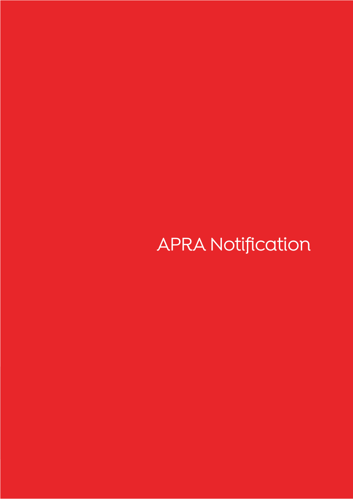# APRA Notification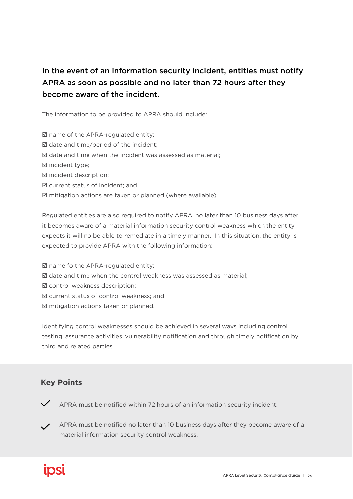# In the event of an information security incident, entities must notify APRA as soon as possible and no later than 72 hours after they become aware of the incident.

The information to be provided to APRA should include:

 $\boxtimes$  name of the APRA-regulated entity;

 $\boxtimes$  date and time/period of the incident;

 $\boxtimes$  date and time when the incident was assessed as material;

**Ø** incident type;

incident description;

current status of incident; and

 $\boxtimes$  mitigation actions are taken or planned (where available).

Regulated entities are also required to notify APRA, no later than 10 business days after it becomes aware of a material information security control weakness which the entity expects it will no be able to remediate in a timely manner. In this situation, the entity is expected to provide APRA with the following information:

 $\boxtimes$  name fo the APRA-regulated entity;  $\boxtimes$  date and time when the control weakness was assessed as material; control weakness description; current status of control weakness; and  $\boxtimes$  mitigation actions taken or planned.

Identifying control weaknesses should be achieved in several ways including control testing, assurance activities, vulnerability notification and through timely notification by third and related parties.

# **Key Points**

APRA must be notified within 72 hours of an information security incident.

APRA must be notified no later than 10 business days after they become aware of a material information security control weakness.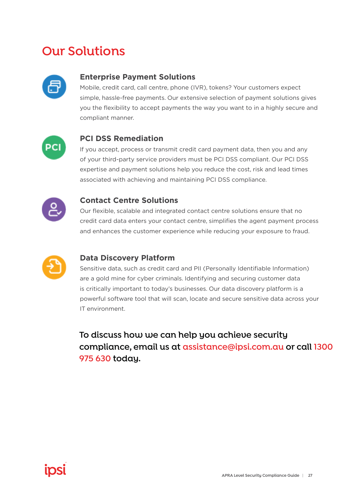# **Our Solutions**



# **Enterprise Payment Solutions**

Mobile, credit card, call centre, phone (IVR), tokens? Your customers expect simple, hassle-free payments. Our extensive selection of payment solutions gives you the flexibility to accept payments the way you want to in a highly secure and compliant manner.



# **PCI DSS Remediation**

If you accept, process or transmit credit card payment data, then you and any of your third-party service providers must be PCI DSS compliant. Our PCI DSS expertise and payment solutions help you reduce the cost, risk and lead times associated with achieving and maintaining PCI DSS compliance.



### **Contact Centre Solutions**

Our flexible, scalable and integrated contact centre solutions ensure that no credit card data enters your contact centre, simplifies the agent payment process and enhances the customer experience while reducing your exposure to fraud.



## **Data Discovery Platform**

Sensitive data, such as credit card and PII (Personally Identifiable Information) are a gold mine for cyber criminals. Identifying and securing customer data is critically important to today's businesses. Our data discovery platform is a powerful software tool that will scan, locate and secure sensitive data across your IT environment.

**To discuss how we can help you achieve security compliance, email us at assistance@ipsi.com.au or call 1300 975 630 today.**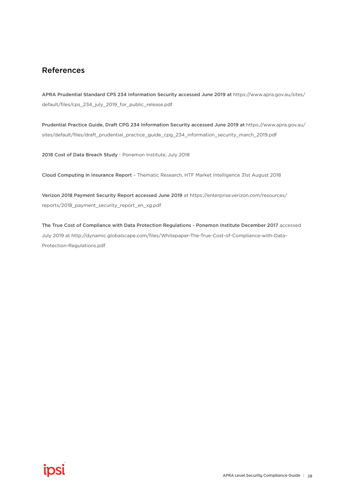# References

APRA Prudential Standard CPS 234 Information Security accessed June 2019 at https://www.apra.gov.au/sites/ default/files/cps\_234\_july\_2019\_for\_public\_release.pdf

Prudential Practice Guide, Draft CPG 234 Information Security accessed June 2019 at https://www.apra.gov.au/ sites/default/files/draft\_prudential\_practice\_guide\_cpg\_234\_information\_security\_march\_2019.pdf

2018 Cost of Data Breach Study - Ponemon Institute, July 2018

Cloud Computing in Insurance Report – Thematic Research, HTF Market Intelligence 31st August 2018

Verizon 2018 Payment Security Report accessed June 2019 at https://enterprise.verizon.com/resources/ reports/2018\_payment\_security\_report\_en\_xg.pdf

The True Cost of Compliance with Data Protection Regulations - Ponemon Institute December 2017 accessed July 2019 at http://dynamic.globalscape.com/files/Whitepaper-The-True-Cost-of-Compliance-with-Data-Protection-Regulations.pdf